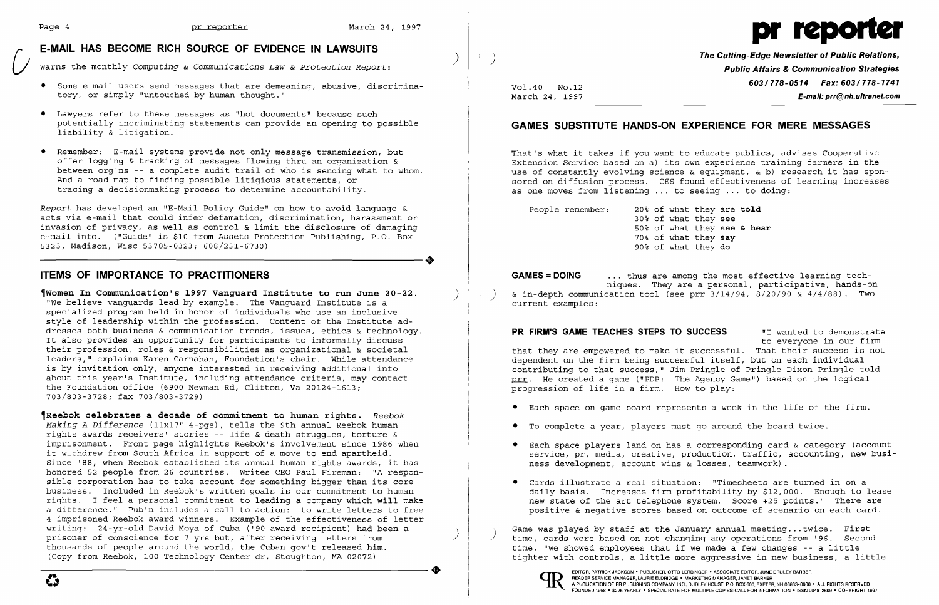# [; **E-MAIL HAS BECOME RICH SOURCE OF EVIDENCE IN LAWSUITS**  ) Warns the monthly *Computing* & *Communications Law* & *Protection Report:*

- $\bullet$  Some e-mail users send messages that are demeaning, abusive, discrimina tory, or simply "untouched by human thought."
- • Lawyers refer to these messages as "hot documents" because such potentially incriminating statements can provide an opening to possible liability & litigation.
- • Remember: E-mail systems provide not only message transmission, but offer logging & tracking of messages flowing thru an organization & between org'ns -- a complete audit trail of who is sending what to whom. And a road map to finding possible litigious statements, or tracing a decisionmaking process to determine accountability.

Report has developed an "E-Mail Policy Guide" on how to avoid language & acts via e-mail that could infer defamation, discrimination, harassment or invasion of privacy, as well as control & limit the disclosure of damaging e-mail info. ("Guide" is \$10 from Assets Protection Publishing, P.O. Box 5323, Madison, Wisc 53705-0323; 608/231-6730) 5323, Madison, Wisc 53705-0323; 608/231-6730)

# **ITEMS OF IMPORTANCE TO PRACTITIONERS**

~Women **In Communication's 1997 Vanguard Institute to run June 20-22.** ) "We believe vanguards lead by example. The Vanguard Institute is a We believe vanguards lead by example. The Vanguard Institute is a specialized program held in honor of individuals who use an inclusive style of leadership within the profession. Content of the Institute ad dresses both business & communication trends, issues, ethics & technology. It also provides an opportunity for participants to informally discuss their profession, roles & responsibilities as organizational & societal leaders," explains Karen Carnahan, Foundation's chair. While attendance is by invitation only, anyone interested in receiving additional info about this year's Institute, including attendance criteria, may contact the Foundation office (6900 Newman Rd, Clifton, Va 20124-1613; 703/803-3728; fax 703/803-3729)

People remember: 20% of what they are **told** 30% of what they **see** 50% of what they **see & hear** 70% of what they **say** 90% of what they **do** 

~Reebok **celebrates a decade of commitment to human rights.** *Reebok Making A Difference* (11x17" 4-pgs), tells the 9th annual Reebok human rights awards receivers' stories -- life & death struggles, torture & imprisonment. Front page highlights Reebok's involvement since 1986 when it withdrew from South Africa in support of a move to end apartheid. Since '88, when Reebok established its annual human rights awards, it has honored 52 people from 26 countries. Writes CEO Paul Fireman: "A responsible corporation has to take account for something bigger than its core business. Included in Reebok's written goals is our commitment to human rights. I feel a personal commitment to leading a company which will make a difference." Pub'n includes a call to action: to write letters to free 4 imprisoned Reebok award winners. Example of the effectiveness of letter writing: 24-yr-old David Moya of Cuba ('90 award recipient) had been a prisoner of conscience for 7 yrs but, after receiving letters from prisoner of conscience for 7 yrs but, after receiving letters from<br>thousands of people around the world, the Cuban gov't released him.<br>(Copy from Reebok, 100 Technology Center dr, Stoughton, MA 02072) (Copy from Reebok, 100 Technology Center dr, Stoughton, MA 02072)

 $\mathcal{F}$ 

Game was played by staff at the January annual meeting...twice. First<br>time, cards were based on not changing any operations from '96. Second time, "we showed employees that if we made a few changes -- a little tighter with controls, a little more aggressive in new business, a little



**The Cutting-Edge Newsletter of Public Relations,** ) **Public Affairs & Communication Strategies 603/778-0514 Fax: 603/778-1741**<br>March 24, 1997 **F-mail: prr@nh.ultranet.com** March 24, 1997 **E-mail: prr@nh.ultranet.com** 

## **GAMES SUBSTITUTE HANDS-ON EXPERIENCE FOR MERE MESSAGES**

That's what it takes if you want to educate publics, advises Cooperative Extension Service based on a) its own experience training farmers in the use of constantly evolving science  $\&$  equipment,  $\&$  b) research it has sponsored on diffusion process. CES found effectiveness of learning increases as one moves from listening ... to seeing ... to doing:

**GAMES =DOING** ... thus are among the most effective learning techniques. They are a personal, participative, hands-on & in-depth communication tool (see prr  $3/14/94$ ,  $8/20/90$  &  $4/4/88$ ). Two current examples:

**PR FIRM'S GAME TEACHES STEPS TO SUCCESS** "I wanted to demonstrate to everyone in our firm that they are empowered to make it successful. That their success is not dependent on the firm being successful itself, but on each individual contributing to that success," Jim Pringle of Pringle Dixon Pringle told prr. He created a game ("PDP: The Agency Game") based on the logical progression of life in a firm. How to play:

- • Each space on game board represents a week in the life of the firm.
- • To complete a year, players must go around the board twice.
- ness development, account wins & losses, teamwork).
- • Cards illustrate a real situation: "Timesheets are turned in on a

• Each space players land on has a corresponding card & category (account service, pr, media, creative, production, traffic, accounting, new busi-

daily basis. Increases firm profitability by \$12,000. Enough to lease new state of the art telephone system. Score +25 points." There are positive & negative scores based on outcome of scenario on each card.